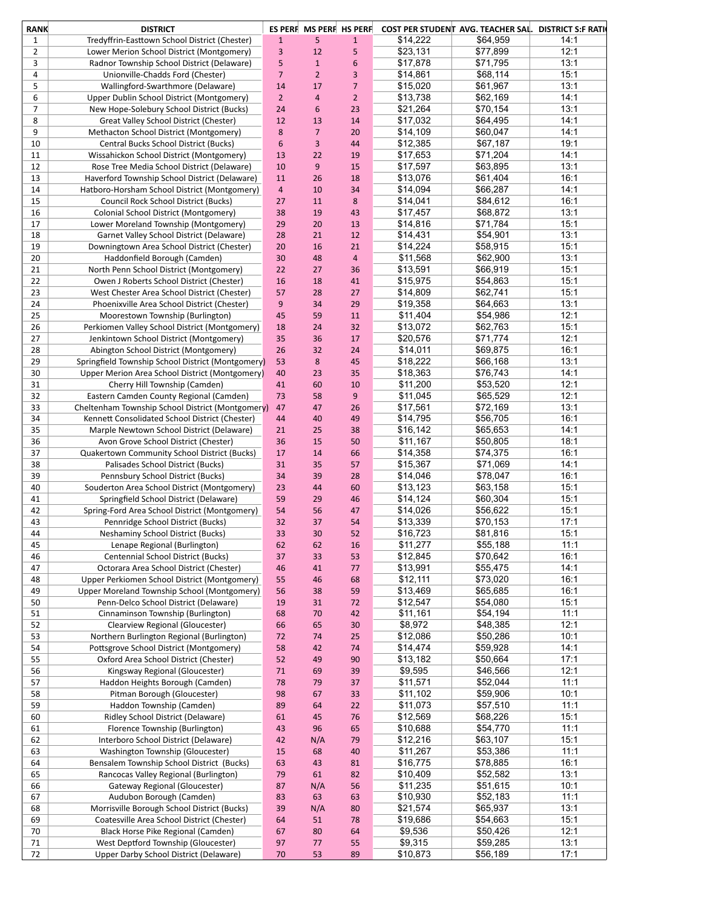| <b>RANK</b>    | <b>DISTRICT</b>                                   |                  | ES PERF MS PERF HS PERF |                |          | COST PER STUDENT AVG. TEACHER SAL. DISTRICT S:F RATI |      |
|----------------|---------------------------------------------------|------------------|-------------------------|----------------|----------|------------------------------------------------------|------|
| 1              | Tredyffrin-Easttown School District (Chester)     | $1\,$            | 5                       | $\mathbf{1}$   | \$14,222 | \$64,959                                             | 14:1 |
| $\overline{2}$ | Lower Merion School District (Montgomery)         | 3                | 12                      | 5              | \$23,131 | \$77,899                                             | 12:1 |
| 3              | Radnor Township School District (Delaware)        | 5                | $\mathbf{1}$            | 6              | \$17,878 | \$71,795                                             | 13:1 |
| 4              | Unionville-Chadds Ford (Chester)                  | $\overline{7}$   | $\overline{2}$          | 3              | \$14,861 | \$68,114                                             | 15:1 |
| 5              | Wallingford-Swarthmore (Delaware)                 | 14               | 17                      | 7              | \$15,020 | \$61,967                                             | 13:1 |
| 6              | Upper Dublin School District (Montgomery)         | $\overline{2}$   | $\overline{4}$          | $\overline{2}$ | \$13,738 | \$62,169                                             | 14:1 |
| 7              | New Hope-Solebury School District (Bucks)         | 24               | 6                       | 23             | \$21,264 | \$70,154                                             | 13:1 |
| 8              |                                                   | 12               |                         |                |          | \$64,495                                             | 14:1 |
|                | Great Valley School District (Chester)            |                  | 13                      | 14             | \$17,032 |                                                      |      |
| 9              | Methacton School District (Montgomery)            | 8                | $\overline{7}$          | 20             | \$14,109 | \$60,047                                             | 14:1 |
| 10             | Central Bucks School District (Bucks)             | $\boldsymbol{6}$ | 3                       | 44             | \$12,385 | \$67,187                                             | 19:1 |
| 11             | Wissahickon School District (Montgomery)          | 13               | 22                      | 19             | \$17,653 | \$71,204                                             | 14:1 |
| 12             | Rose Tree Media School District (Delaware)        | 10               | 9                       | 15             | \$17,597 | \$63,895                                             | 13:1 |
| 13             | Haverford Township School District (Delaware)     | 11               | 26                      | 18             | \$13,076 | \$61,404                                             | 16:1 |
| 14             | Hatboro-Horsham School District (Montgomery)      | $\overline{4}$   | 10                      | 34             | \$14,094 | \$66,287                                             | 14:1 |
| 15             | Council Rock School District (Bucks)              | 27               | 11                      | 8              | \$14,041 | \$84,612                                             | 16:1 |
| 16             | Colonial School District (Montgomery)             | 38               | 19                      | 43             | \$17,457 | \$68,872                                             | 13:1 |
| 17             | Lower Moreland Township (Montgomery)              | 29               | 20                      | 13             | \$14,816 | \$71,784                                             | 15:1 |
| 18             | Garnet Valley School District (Delaware)          | 28               | 21                      | 12             | \$14,431 | \$54,901                                             | 13:1 |
| 19             | Downingtown Area School District (Chester)        | 20               | 16                      | 21             | \$14,224 | \$58,915                                             | 15:1 |
| 20             | Haddonfield Borough (Camden)                      | 30               | 48                      | $\overline{4}$ | \$11,568 | \$62,900                                             | 13:1 |
| 21             | North Penn School District (Montgomery)           | 22               | 27                      | 36             | \$13,591 | \$66,919                                             | 15:1 |
| 22             | Owen J Roberts School District (Chester)          | 16               | 18                      | 41             | \$15,975 | \$54,863                                             | 15:1 |
| 23             | West Chester Area School District (Chester)       | 57               | 28                      | 27             | \$14,809 | \$62,741                                             | 15:1 |
| 24             | Phoenixville Area School District (Chester)       | 9                | 34                      | 29             | \$19,358 | \$64,663                                             | 13:1 |
| 25             | Moorestown Township (Burlington)                  | 45               | 59                      | 11             | \$11,404 | \$54,986                                             | 12:1 |
| 26             | Perkiomen Valley School District (Montgomery)     | 18               | 24                      | 32             | \$13,072 | \$62,763                                             | 15:1 |
| 27             | Jenkintown School District (Montgomery)           | 35               | 36                      | 17             | \$20.576 | \$71,774                                             | 12:1 |
| 28             | Abington School District (Montgomery)             | 26               | 32                      | 24             | \$14,011 | \$69,875                                             | 16:1 |
| 29             | Springfield Township School District (Montgomery) | 53               | 8                       | 45             | \$18,222 | \$66,168                                             | 13:1 |
| 30             | Upper Merion Area School District (Montgomery)    | 40               | 23                      | 35             | \$18,363 | \$76,743                                             | 14:1 |
|                |                                                   |                  |                         |                |          |                                                      | 12:1 |
| 31             | Cherry Hill Township (Camden)                     | 41               | 60                      | 10             | \$11,200 | \$53,520                                             |      |
| 32             | Eastern Camden County Regional (Camden)           | 73               | 58                      | 9              | \$11,045 | \$65,529                                             | 12:1 |
| 33             | Cheltenham Township School District (Montgomery)  | 47               | 47                      | 26             | \$17,561 | \$72,169                                             | 13:1 |
| 34             | Kennett Consolidated School District (Chester)    | 44               | 40                      | 49             | \$14,795 | \$56,705                                             | 16:1 |
| 35             | Marple Newtown School District (Delaware)         | 21               | 25                      | 38             | \$16,142 | \$65,653                                             | 14:1 |
| 36             | Avon Grove School District (Chester)              | 36               | 15                      | 50             | \$11,167 | \$50,805                                             | 18:1 |
| 37             | Quakertown Community School District (Bucks)      | 17               | 14                      | 66             | \$14,358 | \$74,375                                             | 16:1 |
| 38             | Palisades School District (Bucks)                 | 31               | 35                      | 57             | \$15,367 | \$71,069                                             | 14:1 |
| 39             | Pennsbury School District (Bucks)                 | 34               | 39                      | 28             | \$14,046 | \$78,047                                             | 16:1 |
| 40             | Souderton Area School District (Montgomery)       | 23               | 44                      | 60             | \$13,123 | \$63,158                                             | 15:1 |
| 41             | Springfield School District (Delaware)            | 59               | 29                      | 46             | \$14,124 | \$60,304                                             | 15:1 |
| 42             | Spring-Ford Area School District (Montgomery)     | 54               | 56                      | 47             | \$14,026 | \$56,622                                             | 15:1 |
| 43             | Pennridge School District (Bucks)                 | 32               | 37                      | 54             | \$13,339 | \$70,153                                             | 17:1 |
| 44             | Neshaminy School District (Bucks)                 | 33               | 30                      | 52             | \$16,723 | \$81,816                                             | 15:1 |
| 45             | Lenape Regional (Burlington)                      | 62               | 62                      | 16             | \$11,277 | \$55,188                                             | 11:1 |
| 46             | Centennial School District (Bucks)                | 37               | 33                      | 53             | \$12,845 | \$70,642                                             | 16:1 |
| 47             | Octorara Area School District (Chester)           | 46               | 41                      | $77$           | \$13,991 | \$55,475                                             | 14:1 |
| 48             | Upper Perkiomen School District (Montgomery)      | 55               | 46                      | 68             | \$12,111 | \$73,020                                             | 16:1 |
| 49             | Upper Moreland Township School (Montgomery)       | 56               | 38                      | 59             | \$13,469 | \$65,685                                             | 16:1 |
| 50             | Penn-Delco School District (Delaware)             | 19               | 31                      | 72             | \$12,547 | \$54,080                                             | 15:1 |
| 51             | Cinnaminson Township (Burlington)                 | 68               | 70                      | 42             | \$11,161 | \$54,194                                             | 11:1 |
| 52             | Clearview Regional (Gloucester)                   | 66               | 65                      | 30             | \$8,972  | \$48,385                                             | 12:1 |
| 53             | Northern Burlington Regional (Burlington)         | 72               | 74                      | 25             | \$12,086 | \$50,286                                             | 10:1 |
| 54             |                                                   |                  |                         |                | \$14,474 | \$59,928                                             | 14:1 |
|                | Pottsgrove School District (Montgomery)           | 58               | 42                      | 74             |          |                                                      |      |
| 55             | Oxford Area School District (Chester)             | 52               | 49                      | 90             | \$13,182 | \$50,664                                             | 17:1 |
| 56             | Kingsway Regional (Gloucester)                    | $71\,$           | 69                      | 39             | \$9,595  | \$46,566                                             | 12:1 |
| 57             | Haddon Heights Borough (Camden)                   | 78               | 79                      | 37             | \$11,571 | \$52,044                                             | 11:1 |
| 58             | Pitman Borough (Gloucester)                       | 98               | 67                      | 33             | \$11,102 | \$59,906                                             | 10:1 |
| 59             | Haddon Township (Camden)                          | 89               | 64                      | 22             | \$11,073 | \$57,510                                             | 11:1 |
| 60             | Ridley School District (Delaware)                 | 61               | 45                      | 76             | \$12,569 | \$68,226                                             | 15:1 |
| 61             | Florence Township (Burlington)                    | 43               | 96                      | 65             | \$10,688 | \$54,770                                             | 11:1 |
| 62             | Interboro School District (Delaware)              | 42               | N/A                     | 79             | \$12,216 | \$63,107                                             | 15:1 |
| 63             | Washington Township (Gloucester)                  | 15               | 68                      | 40             | \$11,267 | \$53,386                                             | 11:1 |
| 64             | Bensalem Township School District (Bucks)         | 63               | 43                      | 81             | \$16,775 | \$78,885                                             | 16:1 |
| 65             | Rancocas Valley Regional (Burlington)             | 79               | 61                      | 82             | \$10,409 | \$52,582                                             | 13:1 |
| 66             | Gateway Regional (Gloucester)                     | 87               | N/A                     | 56             | \$11,235 | \$51,615                                             | 10:1 |
| 67             | Audubon Borough (Camden)                          | 83               | 63                      | 63             | \$10,930 | \$52,183                                             | 11:1 |
| 68             | Morrisville Borough School District (Bucks)       | 39               | N/A                     | 80             | \$21,574 | \$65,937                                             | 13:1 |
| 69             | Coatesville Area School District (Chester)        | 64               | 51                      | 78             | \$19,686 | \$54,663                                             | 15:1 |
| 70             | Black Horse Pike Regional (Camden)                | 67               | 80                      | 64             | \$9,536  | \$50,426                                             | 12:1 |
| $71\,$         | West Deptford Township (Gloucester)               | 97               | 77                      | 55             | \$9,315  | \$59,285                                             | 13:1 |
| 72             | Upper Darby School District (Delaware)            | $70\,$           | 53                      | 89             | \$10,873 | \$56,189                                             | 17:1 |